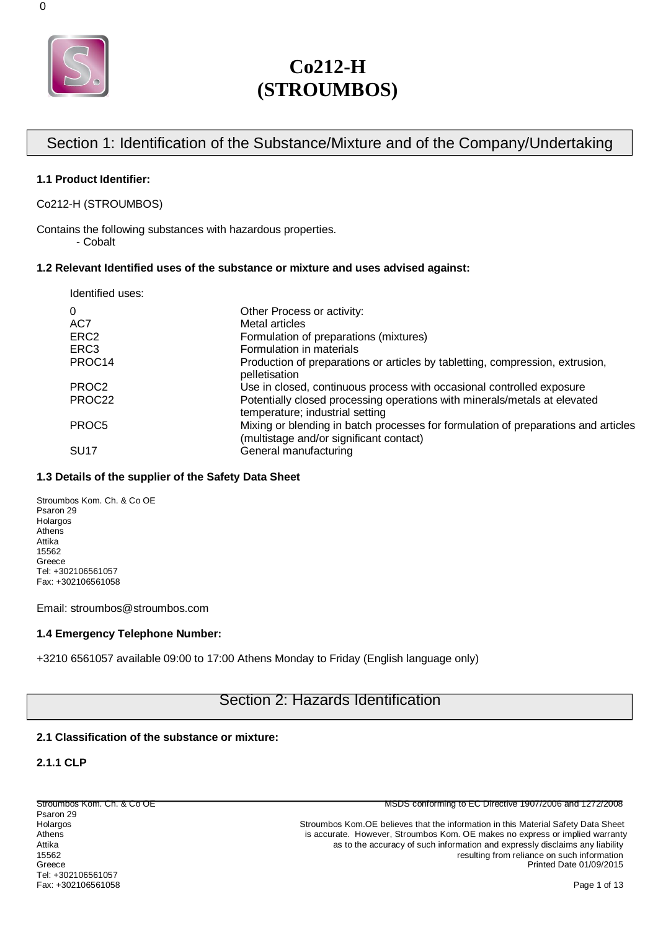

# Section 1: Identification of the Substance/Mixture and of the Company/Undertaking

#### **1.1 Product Identifier:**

Co212-H (STROUMBOS)

Contains the following substances with hazardous properties.

- Cobalt

#### **1.2 Relevant Identified uses of the substance or mixture and uses advised against:**

| Identified uses:   |                                                                                                                               |
|--------------------|-------------------------------------------------------------------------------------------------------------------------------|
| $\Omega$           | Other Process or activity:                                                                                                    |
| AC7                | Metal articles                                                                                                                |
| ERC <sub>2</sub>   | Formulation of preparations (mixtures)                                                                                        |
| ERC <sub>3</sub>   | Formulation in materials                                                                                                      |
| PROC <sub>14</sub> | Production of preparations or articles by tabletting, compression, extrusion,<br>pelletisation                                |
| PROC <sub>2</sub>  | Use in closed, continuous process with occasional controlled exposure                                                         |
| PROC22             | Potentially closed processing operations with minerals/metals at elevated<br>temperature; industrial setting                  |
| PROC <sub>5</sub>  | Mixing or blending in batch processes for formulation of preparations and articles<br>(multistage and/or significant contact) |
| SU <sub>17</sub>   | General manufacturing                                                                                                         |

## **1.3 Details of the supplier of the Safety Data Sheet**

Stroumbos Kom. Ch. & Co OE Psaron 29 Holargos Athens Attika 15562 Greece Tel: +302106561057 Fax: +302106561058

Email: stroumbos@stroumbos.com

### **1.4 Emergency Telephone Number:**

+3210 6561057 available 09:00 to 17:00 Athens Monday to Friday (English language only)

# Section 2: Hazards Identification

#### **2.1 Classification of the substance or mixture:**

#### **2.1.1 CLP**

Psaron 29<br>Holargos Tel: +302106561057 Fax: +302106561058 Page 1 of 13

Stroumbos Kom. Ch. & Co OE MSDS conforming to EC Directive 1907/2006 and 1272/2008

Holargos Stroumbos Kom.OE believes that the information in this Material Safety Data Sheet<br>Athens Athens Stroumbos Kom.OE makes no express or implied warranty is accurate. However, Stroumbos Kom. OE makes no express or implied warranty Attika **as to the accuracy of such information and expressly disclaims any liability** as to the accuracy of such information and expressly disclaims any liability 15562 resulting from reliance on such information<br>Greece **resulting from reliance on such information**<br>Printed Date 01/09/2015 Printed Date 01/09/2015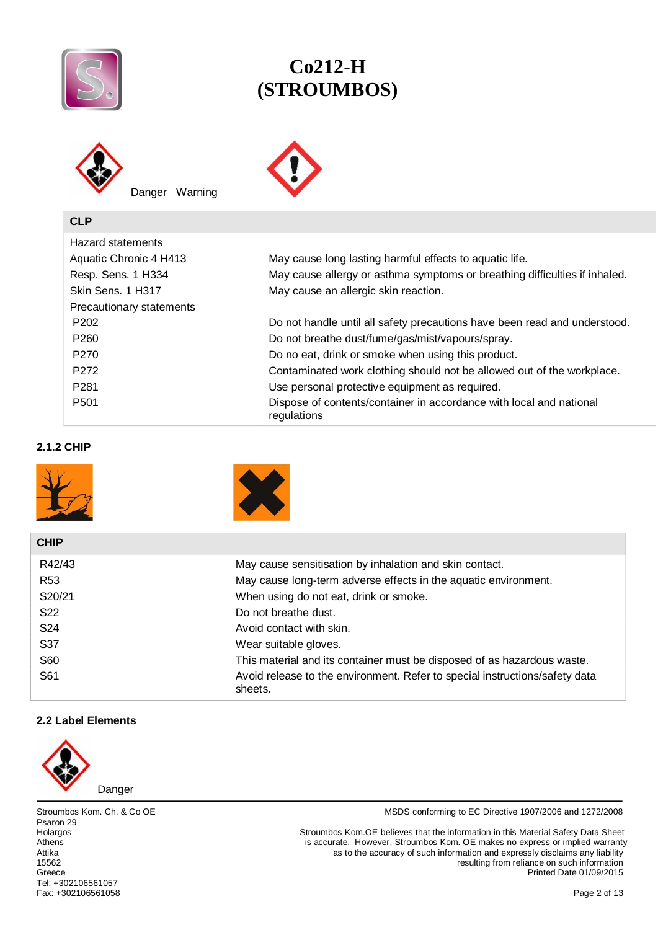



| Hazard statements        |                                                                                    |
|--------------------------|------------------------------------------------------------------------------------|
| Aquatic Chronic 4 H413   | May cause long lasting harmful effects to aquatic life.                            |
| Resp. Sens. 1 H334       | May cause allergy or asthma symptoms or breathing difficulties if inhaled.         |
| Skin Sens. 1 H317        | May cause an allergic skin reaction.                                               |
| Precautionary statements |                                                                                    |
| P <sub>202</sub>         | Do not handle until all safety precautions have been read and understood.          |
| P <sub>260</sub>         | Do not breathe dust/fume/gas/mist/vapours/spray.                                   |
| P <sub>270</sub>         | Do no eat, drink or smoke when using this product.                                 |
| P <sub>272</sub>         | Contaminated work clothing should not be allowed out of the workplace.             |
| P <sub>281</sub>         | Use personal protective equipment as required.                                     |
| P <sub>501</sub>         | Dispose of contents/container in accordance with local and national<br>regulations |

# **2.1.2 CHIP**





| <b>CHIP</b>     |                                                                                        |
|-----------------|----------------------------------------------------------------------------------------|
| R42/43          | May cause sensitisation by inhalation and skin contact.                                |
| R <sub>53</sub> | May cause long-term adverse effects in the aquatic environment.                        |
| S20/21          | When using do not eat, drink or smoke.                                                 |
| S <sub>22</sub> | Do not breathe dust.                                                                   |
| S <sub>24</sub> | Avoid contact with skin.                                                               |
| S37             | Wear suitable gloves.                                                                  |
| S60             | This material and its container must be disposed of as hazardous waste.                |
| S61             | Avoid release to the environment. Refer to special instructions/safety data<br>sheets. |

# **2.2 Label Elements**



Danger

Psaron 29<br>Holargos Tel: +302106561057 Fax: +302106561058 Page 2 of 13

Stroumbos Kom. Ch. & Co OE **MSDS** conforming to EC Directive 1907/2006 and 1272/2008

Holargos Stroumbos Kom.OE believes that the information in this Material Safety Data Sheet<br>Athens Assecurate. However, Stroumbos Kom. OE makes no express or implied warranty Athens is accurate. However, Stroumbos Kom. OE makes no express or implied warranty<br>Attika and Expressiy disclaims any liability Attika as to the accuracy of such information and expressly disclaims any liability<br>15562<br>
Attika by the accuracy of such information and expressly disclaims any liability<br>
15562 15562 resulting from reliance on such information Greece Printed Date 01/09/2015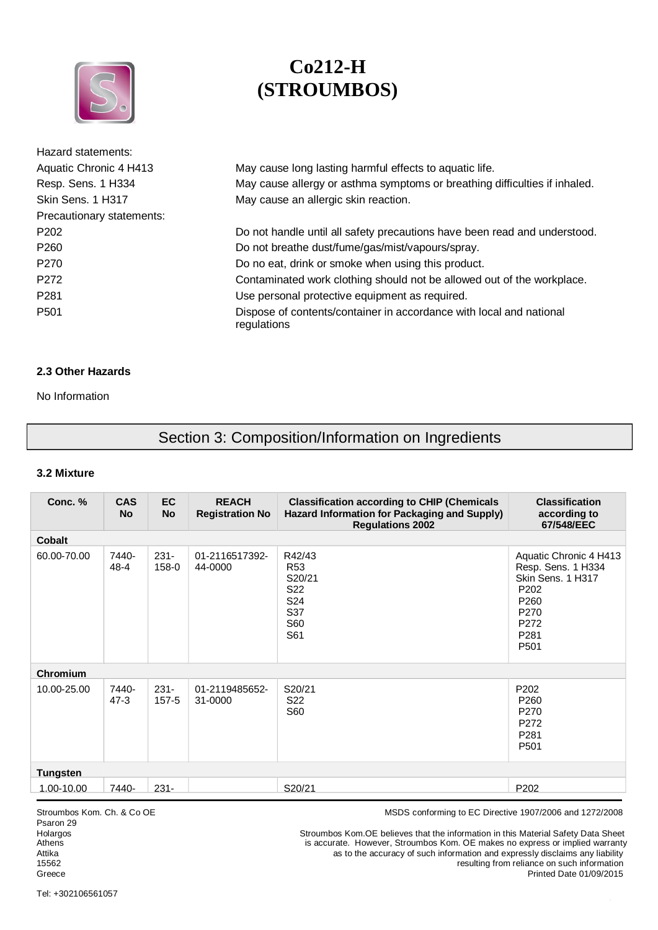

| Hazard statements:        |                                                                                    |
|---------------------------|------------------------------------------------------------------------------------|
| Aquatic Chronic 4 H413    | May cause long lasting harmful effects to aquatic life.                            |
| Resp. Sens. 1 H334        | May cause allergy or asthma symptoms or breathing difficulties if inhaled.         |
| Skin Sens. 1 H317         | May cause an allergic skin reaction.                                               |
| Precautionary statements: |                                                                                    |
| P <sub>202</sub>          | Do not handle until all safety precautions have been read and understood.          |
| P <sub>260</sub>          | Do not breathe dust/fume/gas/mist/vapours/spray.                                   |
| P <sub>270</sub>          | Do no eat, drink or smoke when using this product.                                 |
| P <sub>272</sub>          | Contaminated work clothing should not be allowed out of the workplace.             |
| P <sub>281</sub>          | Use personal protective equipment as required.                                     |
| P <sub>501</sub>          | Dispose of contents/container in accordance with local and national<br>regulations |

# **2.3 Other Hazards**

No Information

# Section 3: Composition/Information on Ingredients

## **3.2 Mixture**

| Conc. %         | <b>CAS</b><br><b>No</b> | <b>EC</b><br><b>No</b> | <b>REACH</b><br><b>Registration No</b> | <b>Classification according to CHIP (Chemicals</b><br>Hazard Information for Packaging and Supply)<br><b>Regulations 2002</b> | <b>Classification</b><br>according to<br>67/548/EEC                                                                                                   |  |
|-----------------|-------------------------|------------------------|----------------------------------------|-------------------------------------------------------------------------------------------------------------------------------|-------------------------------------------------------------------------------------------------------------------------------------------------------|--|
| <b>Cobalt</b>   |                         |                        |                                        |                                                                                                                               |                                                                                                                                                       |  |
| 60.00-70.00     | 7440-<br>$48 - 4$       | $231 -$<br>158-0       | 01-2116517392-<br>44-0000              | R42/43<br>R <sub>53</sub><br>S20/21<br>S <sub>22</sub><br>S24<br>S37<br>S60<br>S61                                            | Aquatic Chronic 4 H413<br>Resp. Sens. 1 H334<br>Skin Sens. 1 H317<br>P <sub>202</sub><br>P <sub>260</sub><br>P270<br>P272<br>P281<br>P <sub>501</sub> |  |
| Chromium        |                         |                        |                                        |                                                                                                                               |                                                                                                                                                       |  |
| 10.00-25.00     | 7440-<br>$47-3$         | $231 -$<br>$157 - 5$   | 01-2119485652-<br>31-0000              | S20/21<br>S <sub>22</sub><br>S60                                                                                              | P <sub>202</sub><br>P <sub>260</sub><br>P270<br>P272<br>P <sub>281</sub><br>P <sub>501</sub>                                                          |  |
| <b>Tungsten</b> |                         |                        |                                        |                                                                                                                               |                                                                                                                                                       |  |
| 1.00-10.00      | 7440-                   | $231 -$                |                                        | S20/21                                                                                                                        | P202                                                                                                                                                  |  |

Psaron 29<br>Holargos

Stroumbos Kom. Ch. & Co OE **MSDS** conforming to EC Directive 1907/2006 and 1272/2008

Holargos Stroumbos Kom.OE believes that the information in this Material Safety Data Sheet<br>Athens accurate. However, Stroumbos Kom. OE makes no express or implied warranty Athens is accurate. However, Stroumbos Kom. OE makes no express or implied warranty<br>Attika as to the accuracy of such information and expressly disclaims any liability Attika as to the accuracy of such information and expressly disclaims any liability<br>15562<br>Tesulting from reliance on such information resulting from reliance on such information Greece Printed Date 01/09/2015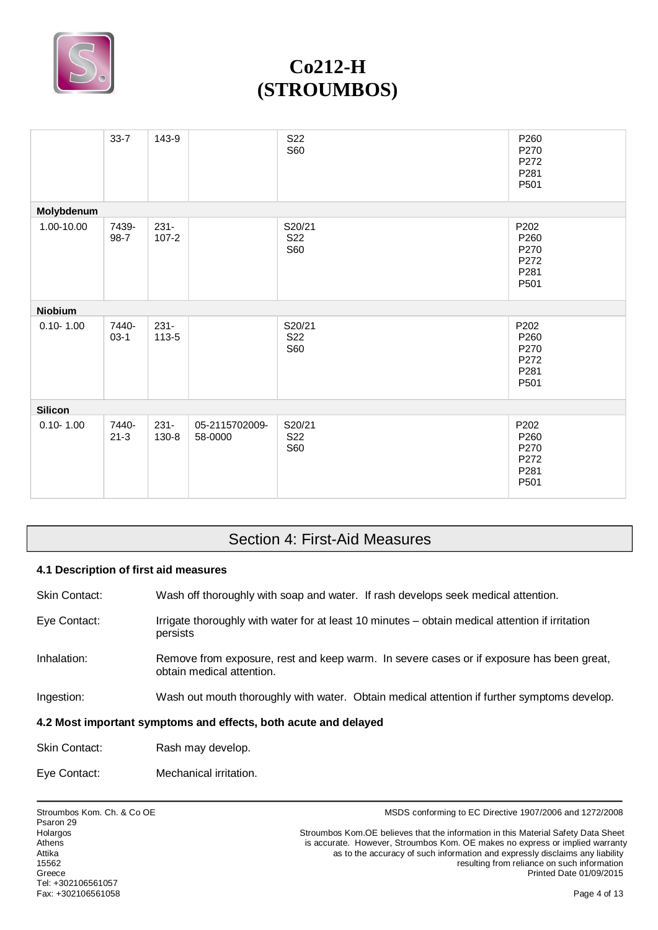

|                | $33 - 7$          | 143-9                |                           | S22<br><b>S60</b>                       | P260<br>P270<br>P272<br>P281<br>P501                     |
|----------------|-------------------|----------------------|---------------------------|-----------------------------------------|----------------------------------------------------------|
| Molybdenum     |                   |                      |                           |                                         |                                                          |
| 1.00-10.00     | 7439-<br>$98 - 7$ | $231 -$<br>$107 - 2$ |                           | S20/21<br>S <sub>22</sub><br><b>S60</b> | P202<br>P260<br>P270<br>P272<br>P281<br>P501             |
| <b>Niobium</b> |                   |                      |                           |                                         |                                                          |
| $0.10 - 1.00$  | 7440-<br>$03-1$   | $231 -$<br>113-5     |                           | S20/21<br><b>S22</b><br><b>S60</b>      | P202<br>P260<br>P270<br>P272<br>P281<br>P501             |
| <b>Silicon</b> |                   |                      |                           |                                         |                                                          |
| $0.10 - 1.00$  | 7440-<br>$21 - 3$ | $231 -$<br>130-8     | 05-2115702009-<br>58-0000 | S20/21<br>S <sub>22</sub><br><b>S60</b> | P202<br>P <sub>260</sub><br>P270<br>P272<br>P281<br>P501 |

# Section 4: First-Aid Measures

# **4.1 Description of first aid measures**

Skin Contact: Wash off thoroughly with soap and water. If rash develops seek medical attention.

- Eye Contact: Irrigate thoroughly with water for at least 10 minutes obtain medical attention if irritation persists
- Inhalation: Remove from exposure, rest and keep warm. In severe cases or if exposure has been great, obtain medical attention.
- Ingestion: Wash out mouth thoroughly with water. Obtain medical attention if further symptoms develop.

## **4.2 Most important symptoms and effects, both acute and delayed**

| <b>Skin Contact:</b> | Rash may develop. |
|----------------------|-------------------|
|----------------------|-------------------|

Eye Contact: Mechanical irritation.

Stroumbos Kom. Ch. & Co OE **MSDS** conforming to EC Directive 1907/2006 and 1272/2008

Holargos The Stroumbos Kom.OE believes that the information in this Material Safety Data Sheet<br>Athens Stroumbos Kom.OE makes no express or implied warranty Athens is accurate. However, Stroumbos Kom. OE makes no express or implied warranty<br>Attika as to the accuracy of such information and expressly disclaims any liability Attika as to the accuracy of such information and expressly disclaims any liability<br>15562<br>
Attika by the accuracy of such information reliance on such information resulting from reliance on such information Greece **Printed Date 01/09/2015** Printed Date 01/09/2015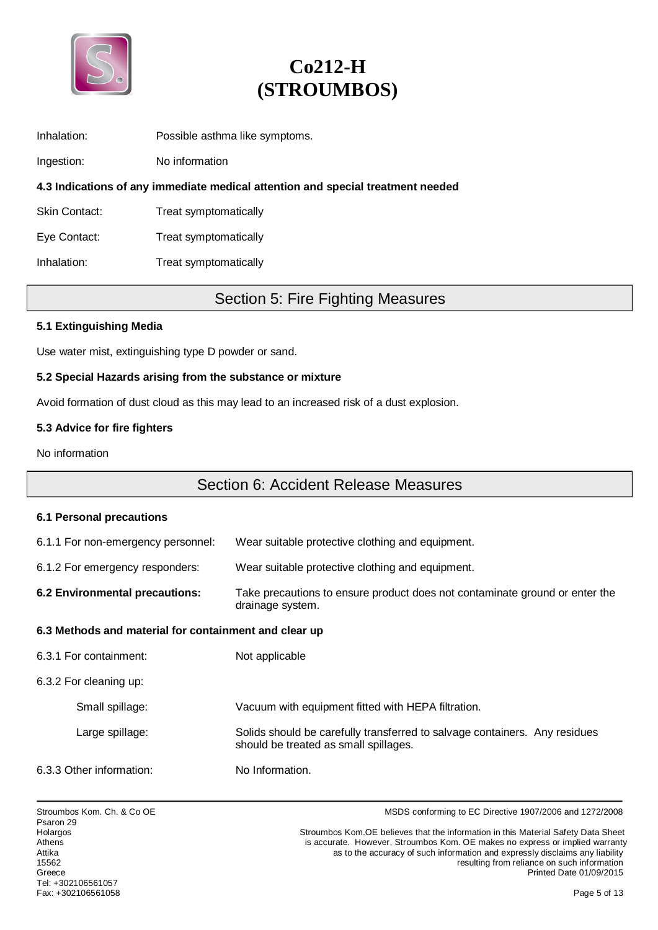

| Inhalation: | Possible asthma like symptoms. |  |
|-------------|--------------------------------|--|
|             |                                |  |

Ingestion: No information

**4.3 Indications of any immediate medical attention and special treatment needed**

Skin Contact: Treat symptomatically

Eye Contact: Treat symptomatically

Inhalation: Treat symptomatically

# Section 5: Fire Fighting Measures

## **5.1 Extinguishing Media**

Use water mist, extinguishing type D powder or sand.

## **5.2 Special Hazards arising from the substance or mixture**

Avoid formation of dust cloud as this may lead to an increased risk of a dust explosion.

## **5.3 Advice for fire fighters**

No information

# Section 6: Accident Release Measures

#### **6.1 Personal precautions**

| 6.1.1 For non-emergency personnel:                                                                                                | Wear suitable protective clothing and equipment.                                                                    |  |  |
|-----------------------------------------------------------------------------------------------------------------------------------|---------------------------------------------------------------------------------------------------------------------|--|--|
| 6.1.2 For emergency responders:                                                                                                   | Wear suitable protective clothing and equipment.                                                                    |  |  |
| 6.2 Environmental precautions:<br>Take precautions to ensure product does not contaminate ground or enter the<br>drainage system. |                                                                                                                     |  |  |
| 6.3 Methods and material for containment and clear up                                                                             |                                                                                                                     |  |  |
| 6.3.1 For containment:                                                                                                            | Not applicable                                                                                                      |  |  |
| 6.3.2 For cleaning up:                                                                                                            |                                                                                                                     |  |  |
| Small spillage:                                                                                                                   | Vacuum with equipment fitted with HEPA filtration.                                                                  |  |  |
| Large spillage:                                                                                                                   | Solids should be carefully transferred to salvage containers. Any residues<br>should be treated as small spillages. |  |  |
| 6.3.3 Other information:                                                                                                          | No Information.                                                                                                     |  |  |

Stroumbos Kom. Ch. & Co OE **MSDS** conforming to EC Directive 1907/2006 and 1272/2008

Holargos The Stroumbos Kom.OE believes that the information in this Material Safety Data Sheet<br>Athens Stroumbos Kom.OE believer, Stroumbos Kom.OE makes no express or implied warranty Athens is accurate. However, Stroumbos Kom. OE makes no express or implied warranty<br>Attika as to the accuracy of such information and expressly disclaims any liability Attika<br>as to the accuracy of such information and expressly disclaims any liability<br>tesulting from reliance on such information resulting from reliance on such information Greece **Printed Date 01/09/2015**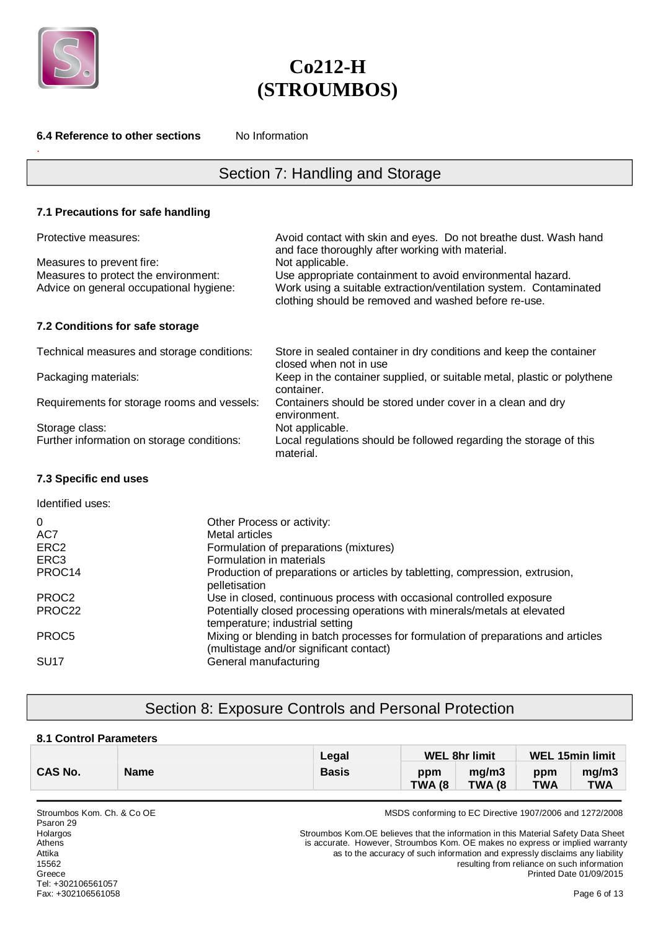

.

**6.4 Reference to other sections** No Information

# **Co212-H (STROUMBOS)**

**7.1 Precautions for safe handling**  Protective measures: Avoid contact with skin and eyes. Do not breathe dust. Wash hand and face thoroughly after working with material. Measures to prevent fire: Not applicable. Measures to protect the environment: Use appropriate containment to avoid environmental hazard. Advice on general occupational hygiene: Work using a suitable extraction/ventilation system. Contaminated clothing should be removed and washed before re-use. **7.2 Conditions for safe storage**  Technical measures and storage conditions: Store in sealed container in dry conditions and keep the container closed when not in use Packaging materials: Keep in the container supplied, or suitable metal, plastic or polythene container. Requirements for storage rooms and vessels: Containers should be stored under cover in a clean and dry environment. Storage class:  $\frac{1}{100}$  Not applicable.<br>
Further information on storage conditions: Local regulation Local regulations should be followed regarding the storage of this material. Section 7: Handling and Storage

## **7.3 Specific end uses**

| Identified uses:  |                                                                                                                               |
|-------------------|-------------------------------------------------------------------------------------------------------------------------------|
| $\Omega$          | Other Process or activity:                                                                                                    |
| AC7               | Metal articles                                                                                                                |
| ERC <sub>2</sub>  | Formulation of preparations (mixtures)                                                                                        |
| ERC <sub>3</sub>  | Formulation in materials                                                                                                      |
| PROC14            | Production of preparations or articles by tabletting, compression, extrusion,<br>pelletisation                                |
| PROC <sub>2</sub> | Use in closed, continuous process with occasional controlled exposure                                                         |
| PROC22            | Potentially closed processing operations with minerals/metals at elevated<br>temperature; industrial setting                  |
| PROC <sub>5</sub> | Mixing or blending in batch processes for formulation of preparations and articles<br>(multistage and/or significant contact) |
| <b>SU17</b>       | General manufacturing                                                                                                         |

# Section 8: Exposure Controls and Personal Protection

## **8.1 Control Parameters**

|                |             | Legal        | <b>WEL 8hr limit</b>  |                         | <b>WEL 15min limit</b> |                     |
|----------------|-------------|--------------|-----------------------|-------------------------|------------------------|---------------------|
| <b>CAS No.</b> | <b>Name</b> | <b>Basis</b> | ppm<br><b>TWA (8)</b> | ma/m3<br><b>TWA (8)</b> | ppm<br><b>TWA</b>      | ma/m3<br><b>TWA</b> |

Psaron 29 Tel: +302106561057 Fax: +302106561058 Page 6 of 13

Stroumbos Kom. Ch. & Co OE **MSDS** conforming to EC Directive 1907/2006 and 1272/2008

Holargos The Stroumbos Kom.OE believes that the information in this Material Safety Data Sheet<br>Athens Stroumbos Kom.OE believer, Stroumbos Kom.OE makes no express or implied warranty is accurate. However, Stroumbos Kom. OE makes no express or implied warranty Attika as to the accuracy of such information and expressly disclaims any liability 15562 resulting from reliance on such information Greece Printed Date 01/09/2015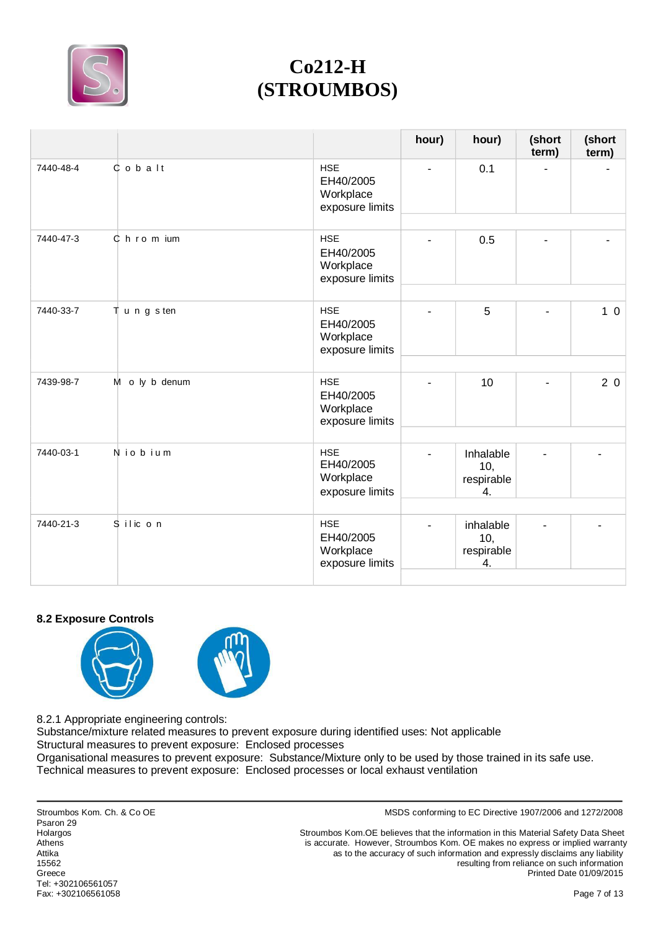

|           |                  |                                                         | hour) | hour)                                | (short<br>term) | (short<br>term) |
|-----------|------------------|---------------------------------------------------------|-------|--------------------------------------|-----------------|-----------------|
| 7440-48-4 | $0$ o $b$ a $It$ | <b>HSE</b><br>EH40/2005<br>Workplace<br>exposure limits |       | 0.1                                  |                 |                 |
| 7440-47-3 | $C$ h r o m ium  | <b>HSE</b><br>EH40/2005<br>Workplace<br>exposure limits |       | 0.5                                  |                 |                 |
| 7440-33-7 | Tungsten         | <b>HSE</b><br>EH40/2005<br>Workplace<br>exposure limits |       | 5                                    |                 | 10              |
| 7439-98-7 | M o ly b denum   | <b>HSE</b><br>EH40/2005<br>Workplace<br>exposure limits |       | 10                                   |                 | 20              |
| 7440-03-1 | Niobium          | <b>HSE</b><br>EH40/2005<br>Workplace<br>exposure limits |       | Inhalable<br>10,<br>respirable<br>4. |                 |                 |
| 7440-21-3 | Silic on         | <b>HSE</b><br>EH40/2005<br>Workplace<br>exposure limits |       | inhalable<br>10,<br>respirable<br>4. |                 |                 |

## **8.2 Exposure Controls**



8.2.1 Appropriate engineering controls:

Substance/mixture related measures to prevent exposure during identified uses: Not applicable Structural measures to prevent exposure: Enclosed processes

Organisational measures to prevent exposure: Substance/Mixture only to be used by those trained in its safe use. Technical measures to prevent exposure: Enclosed processes or local exhaust ventilation

Psaron 29 Tel: +302106561057 Fax: +302106561058 Page 7 of 13

Stroumbos Kom. Ch. & Co OE **MSDS** conforming to EC Directive 1907/2006 and 1272/2008

Holargos Stroumbos Kom.OE believes that the information in this Material Safety Data Sheet<br>Athens Athens Stroumbos Kom.OE makes no express or implied warranty Athens is accurate. However, Stroumbos Kom. OE makes no express or implied warranty<br>Attika as to the accuracy of such information and expressly disclaims any liability Attika<br>as to the accuracy of such information and expressly disclaims any liability<br>tesulting from reliance on such information<br>15562 resulting from reliance on such information Greece Printed Date 01/09/2015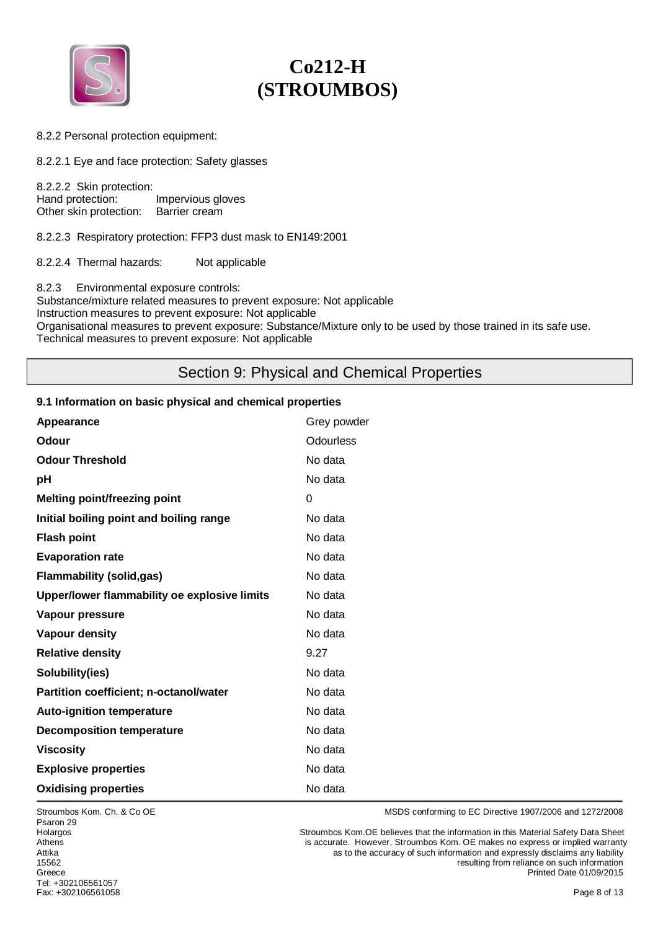

8.2.2 Personal protection equipment:

8.2.2.1 Eye and face protection: Safety glasses

8.2.2.2 Skin protection:<br>Hand protection: Impervious gloves<br>Barrier cream Other skin protection:

8.2.2.3 Respiratory protection: FFP3 dust mask to EN149:2001

8.2.2.4 Thermal hazards: Not applicable

8.2.3 Environmental exposure controls: Substance/mixture related measures to prevent exposure: Not applicable Instruction measures to prevent exposure: Not applicable Organisational measures to prevent exposure: Substance/Mixture only to be used by those trained in its safe use. Technical measures to prevent exposure: Not applicable

# Section 9: Physical and Chemical Properties

#### **9.1 Information on basic physical and chemical properties**

| Appearance                                    | Grey powder      |
|-----------------------------------------------|------------------|
| <b>Odour</b>                                  | <b>Odourless</b> |
| <b>Odour Threshold</b>                        | No data          |
| рH                                            | No data          |
| <b>Melting point/freezing point</b>           | 0                |
| Initial boiling point and boiling range       | No data          |
| <b>Flash point</b>                            | No data          |
| <b>Evaporation rate</b>                       | No data          |
| <b>Flammability (solid,gas)</b>               | No data          |
| Upper/lower flammability oe explosive limits  | No data          |
| Vapour pressure                               | No data          |
| Vapour density                                | No data          |
| <b>Relative density</b>                       | 9.27             |
| Solubility(ies)                               | No data          |
| <b>Partition coefficient; n-octanol/water</b> | No data          |
| <b>Auto-ignition temperature</b>              | No data          |
| <b>Decomposition temperature</b>              | No data          |
| <b>Viscosity</b>                              | No data          |
| <b>Explosive properties</b>                   | No data          |
| <b>Oxidising properties</b>                   | No data          |

Psaron 29 Tel: +302106561057 Fax: +302106561058 Page 8 of 13

Stroumbos Kom. Ch. & Co OE **MSDS** conforming to EC Directive 1907/2006 and 1272/2008

Holargos Stroumbos Kom.OE believes that the information in this Material Safety Data Sheet Athens is accurate. However, Stroumbos Kom. OE makes no express or implied warranty<br>Attika and Expressiy disclaims any liability Attika as to the accuracy of such information and expressly disclaims any liability<br>15562<br>15562 resulting from reliance on such information Greece Printed Date 01/09/2015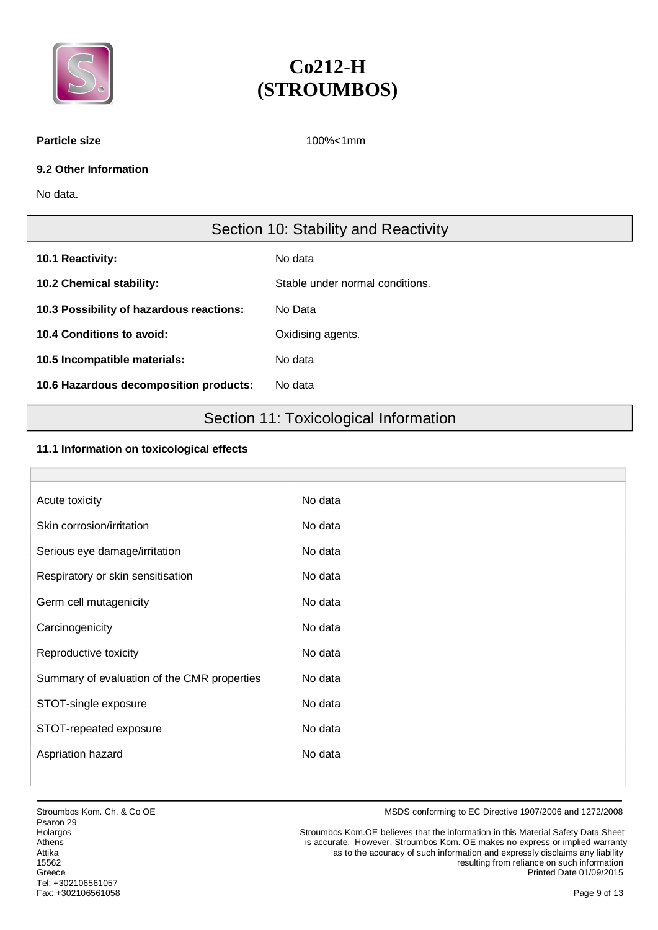

#### **Particle size** 100%<1mm

## **9.2 Other Information**

No data.

# Section 10: Stability and Reactivity

| 10.1 Reactivity:                         | No data                         |
|------------------------------------------|---------------------------------|
| 10.2 Chemical stability:                 | Stable under normal conditions. |
| 10.3 Possibility of hazardous reactions: | No Data                         |
| 10.4 Conditions to avoid:                | Oxidising agents.               |
| 10.5 Incompatible materials:             | No data                         |
| 10.6 Hazardous decomposition products:   | No data                         |

# Section 11: Toxicological Information

## **11.1 Information on toxicological effects**

| Acute toxicity                              | No data |
|---------------------------------------------|---------|
| Skin corrosion/irritation                   | No data |
| Serious eye damage/irritation               | No data |
| Respiratory or skin sensitisation           | No data |
| Germ cell mutagenicity                      | No data |
| Carcinogenicity                             | No data |
| Reproductive toxicity                       | No data |
| Summary of evaluation of the CMR properties | No data |
| STOT-single exposure                        | No data |
| STOT-repeated exposure                      | No data |
| Aspriation hazard                           | No data |
|                                             |         |

Stroumbos Kom. Ch. & Co OE **MSDS** conforming to EC Directive 1907/2006 and 1272/2008

Holargos Stroumbos Kom.OE believes that the information in this Material Safety Data Sheet<br>Athens Athens Stroumbos Kom.OE makes no express or implied warranty Athens is accurate. However, Stroumbos Kom. OE makes no express or implied warranty<br>Attika and Expressiy disclaims any liability Attika as to the accuracy of such information and expressly disclaims any liability<br>15562<br>
Attika consuch information 15562 resulting from reliance on such information Greece **Printed Date 01/09/2015** Printed Date 01/09/2015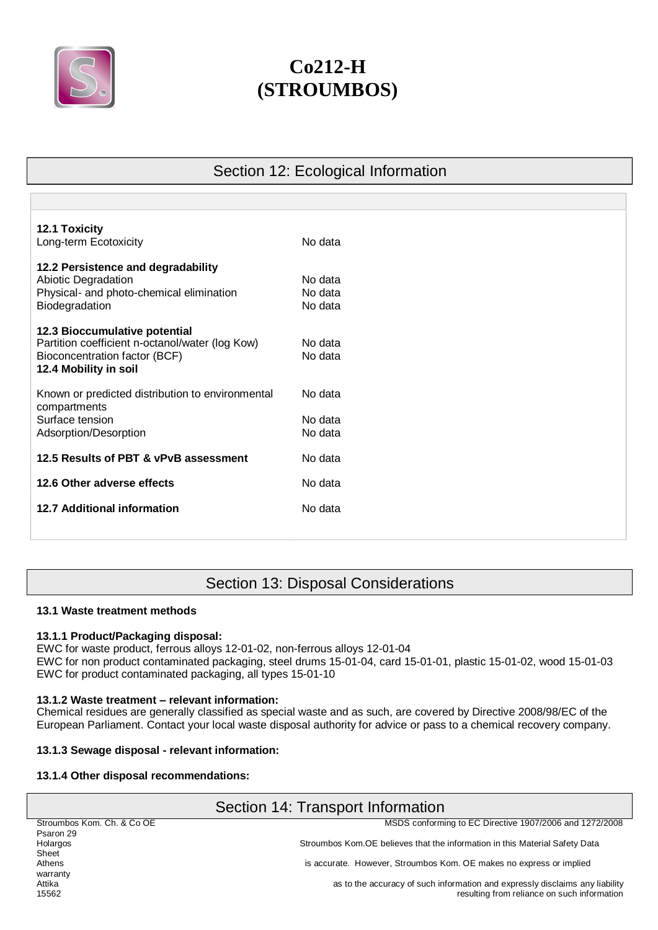

Section 12: Ecological Information

| <b>12.1 Toxicity</b>                             |         |
|--------------------------------------------------|---------|
| Long-term Ecotoxicity                            | No data |
| 12.2 Persistence and degradability               |         |
| Abiotic Degradation                              | No data |
| Physical- and photo-chemical elimination         | No data |
| Biodegradation                                   | No data |
| 12.3 Bioccumulative potential                    |         |
| Partition coefficient n-octanol/water (log Kow)  | No data |
| Bioconcentration factor (BCF)                    | No data |
| 12.4 Mobility in soil                            |         |
| Known or predicted distribution to environmental | No data |
| compartments                                     |         |
| Surface tension                                  | No data |
| Adsorption/Desorption                            | No data |
| 12.5 Results of PBT & vPvB assessment            | No data |
| 12.6 Other adverse effects                       | No data |
|                                                  |         |
| <b>12.7 Additional information</b>               | No data |
|                                                  |         |
|                                                  |         |

# Section 13: Disposal Considerations

## **13.1 Waste treatment methods**

## **13.1.1 Product/Packaging disposal:**

EWC for waste product, ferrous alloys 12-01-02, non-ferrous alloys 12-01-04 EWC for non product contaminated packaging, steel drums 15-01-04, card 15-01-01, plastic 15-01-02, wood 15-01-03 EWC for product contaminated packaging, all types 15-01-10

# **13.1.2 Waste treatment – relevant information:**

Chemical residues are generally classified as special waste and as such, are covered by Directive 2008/98/EC of the European Parliament. Contact your local waste disposal authority for advice or pass to a chemical recovery company.

# **13.1.3 Sewage disposal - relevant information:**

## **13.1.4 Other disposal recommendations:**

| Section 14: Transport Information |                                                                              |  |
|-----------------------------------|------------------------------------------------------------------------------|--|
| Stroumbos Kom. Ch. & Co OE        | MSDS conforming to EC Directive 1907/2006 and 1272/2008                      |  |
| Psaron 29                         |                                                                              |  |
| Holargos                          | Stroumbos Kom. OE believes that the information in this Material Safety Data |  |
| Sheet                             |                                                                              |  |
| Athens                            | is accurate. However, Stroumbos Kom. OE makes no express or implied          |  |
| warranty                          |                                                                              |  |
| Attika                            | as to the accuracy of such information and expressly disclaims any liability |  |
| 15562                             | resulting from reliance on such information                                  |  |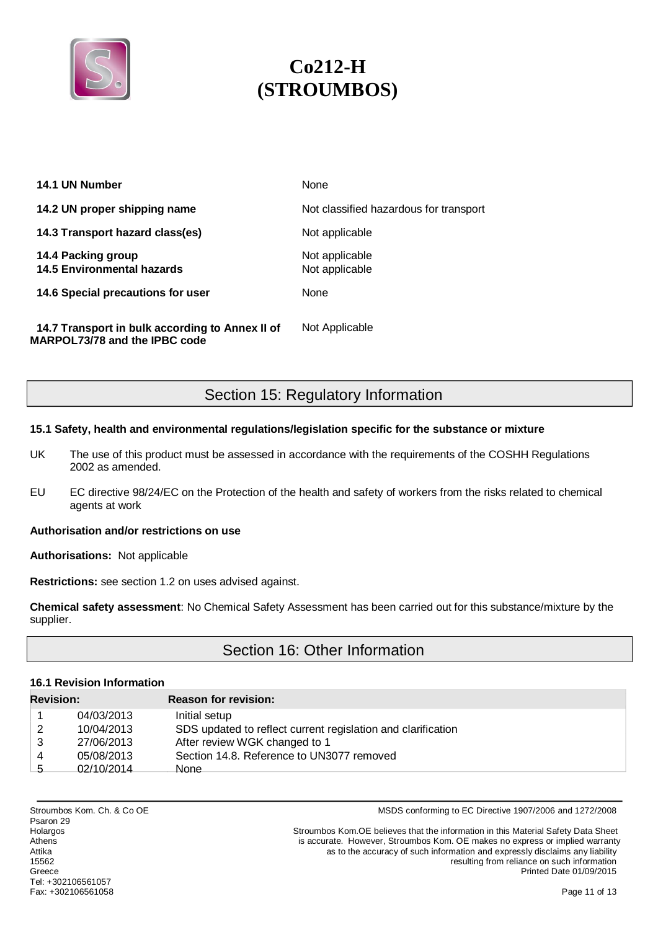

| 14.1 UN Number                                                                   | None                                   |
|----------------------------------------------------------------------------------|----------------------------------------|
| 14.2 UN proper shipping name                                                     | Not classified hazardous for transport |
| 14.3 Transport hazard class(es)                                                  | Not applicable                         |
| 14.4 Packing group<br><b>14.5 Environmental hazards</b>                          | Not applicable<br>Not applicable       |
| 14.6 Special precautions for user                                                | None                                   |
| 14.7 Transport in bulk according to Annex II of<br>MARPOL73/78 and the IPBC code | Not Applicable                         |

Section 15: Regulatory Information

## **15.1 Safety, health and environmental regulations/legislation specific for the substance or mixture**

- UK The use of this product must be assessed in accordance with the requirements of the COSHH Regulations 2002 as amended.
- EU EC directive 98/24/EC on the Protection of the health and safety of workers from the risks related to chemical agents at work

### **Authorisation and/or restrictions on use**

**Authorisations:** Not applicable

**Restrictions:** see section 1.2 on uses advised against.

**Chemical safety assessment**: No Chemical Safety Assessment has been carried out for this substance/mixture by the supplier.

# Section 16: Other Information

## **16.1 Revision Information**

| <b>Revision:</b> |            | <b>Reason for revision:</b>                                  |
|------------------|------------|--------------------------------------------------------------|
|                  | 04/03/2013 | Initial setup                                                |
| 2                | 10/04/2013 | SDS updated to reflect current regislation and clarification |
| 3                | 27/06/2013 | After review WGK changed to 1                                |
| 4                | 05/08/2013 | Section 14.8. Reference to UN3077 removed                    |
| -5               | 02/10/2014 | None                                                         |

Psaron 29<br>Holargos Tel: +302106561057 Fax: +302106561058 Page 11 of 13

Stroumbos Kom. Ch. & Co OE **MSDS** conforming to EC Directive 1907/2006 and 1272/2008

Holargos Stroumbos Kom.OE believes that the information in this Material Safety Data Sheet<br>Athens accurate. However. Stroumbos Kom. OE makes no express or implied warranty is accurate. However, Stroumbos Kom. OE makes no express or implied warranty Attika **and a structure and a structure as to the accuracy of such information and expressly disclaims any liability** 15562 resulting from reliance on such information<br>Greece **resulting from reliance on such information**<br>Printed Date 01/09/2015 Printed Date 01/09/2015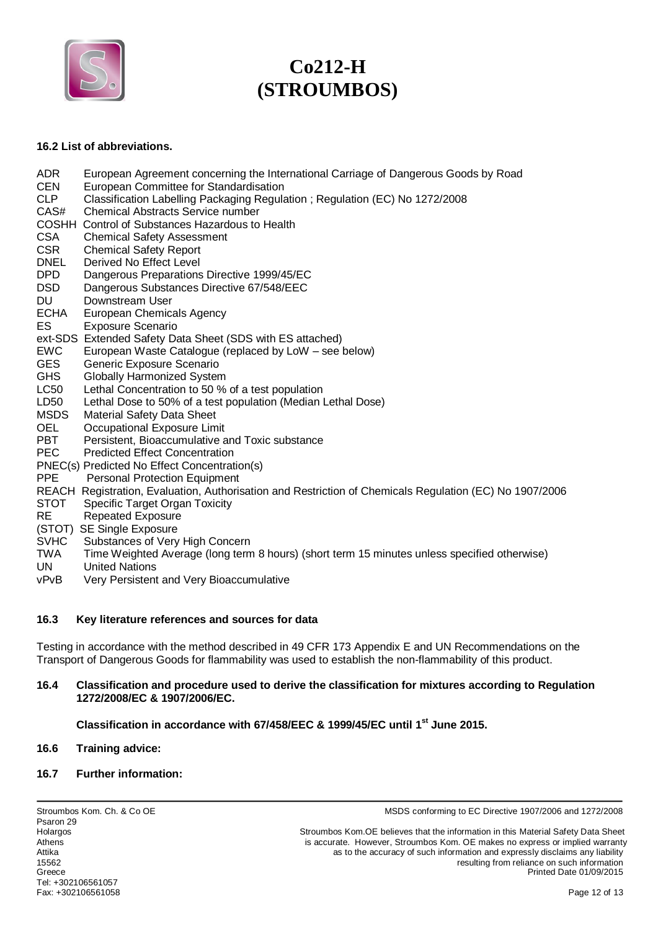

#### **16.2 List of abbreviations.**

- ADR European Agreement concerning the International Carriage of Dangerous Goods by Road<br>CEN European Committee for Standardisation CEN European Committee for Standardisation<br>CLP Classification Labelling Packaging Regula Classification Labelling Packaging Regulation ; Regulation (EC) No 1272/2008 CAS# Chemical Abstracts Service number COSHH Control of Substances Hazardous to Health CSA Chemical Safety Assessment
- 
- CSR Chemical Safety Report<br>
DNEL Derived No Effect Level Derived No Effect Level
- DPD Dangerous Preparations Directive 1999/45/EC
- DSD Dangerous Substances Directive 67/548/EEC
- DU Downstream User
- ECHA European Chemicals Agency
- ES Exposure Scenario
- ext-SDS Extended Safety Data Sheet (SDS with ES attached)
- EWC European Waste Catalogue (replaced by LoW see below)
- GES Generic Exposure Scenario
- GHS Globally Harmonized System
- LC50 Lethal Concentration to 50 % of a test population
- LD50 Lethal Dose to 50% of a test population (Median Lethal Dose)
- MSDS Material Safety Data Sheet
- OEL Occupational Exposure Limit
- PBT Persistent, Bioaccumulative and Toxic substance
- PEC Predicted Effect Concentration
- PNEC(s) Predicted No Effect Concentration(s)
- PPE Personal Protection Equipment
- REACH Registration, Evaluation, Authorisation and Restriction of Chemicals Regulation (EC) No 1907/2006
- STOT Specific Target Organ Toxicity
- RE Repeated Exposure
- (STOT) SE Single Exposure
- SVHC Substances of Very High Concern
- TWA Time Weighted Average (long term 8 hours) (short term 15 minutes unless specified otherwise)
- UN United Nations
- vPvB Very Persistent and Very Bioaccumulative

#### **16.3 Key literature references and sources for data**

Testing in accordance with the method described in 49 CFR 173 Appendix E and UN Recommendations on the Transport of Dangerous Goods for flammability was used to establish the non-flammability of this product.

#### **16.4 Classification and procedure used to derive the classification for mixtures according to Regulation 1272/2008/EC & 1907/2006/EC.**

**Classification in accordance with 67/458/EEC & 1999/45/EC until 1st June 2015.** 

#### **16.6 Training advice:**

#### **16.7 Further information:**

Stroumbos Kom. Ch. & Co OE **MSDS** conforming to EC Directive 1907/2006 and 1272/2008

Stroumbos Kom OE believes that the information in this Material Safety Data Sheet Athens is accurate. However, Stroumbos Kom. OE makes no express or implied warranty Attika as to the accuracy of such information and expressly disclaims any liability<br>15562<br>15562 resulting from reliance on such information Greece Printed Date 01/09/2015